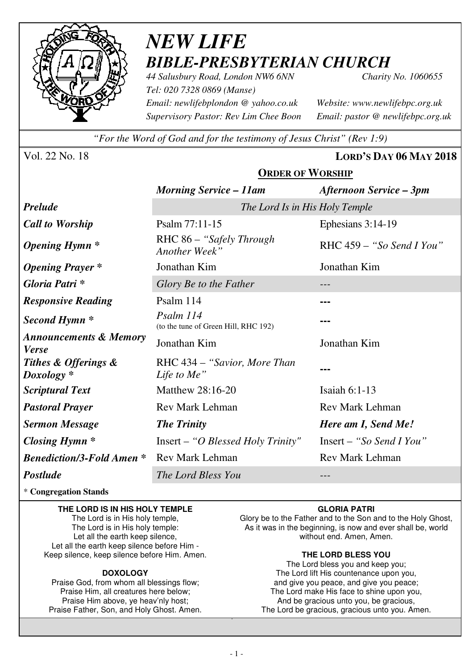

# *NEW LIFE BIBLE-PRESBYTERIAN CHURCH*

**ORDER OF WORSHIP**

*44 Salusbury Road, London NW6 6NN Charity No. 1060655 Tel: 020 7328 0869 (Manse) Email: newlifebplondon @ yahoo.co.uk Website: www.newlifebpc.org.uk Supervisory Pastor: Rev Lim Chee Boon Email: pastor @ newlifebpc.org.uk* 

*"For the Word of God and for the testimony of Jesus Christ" (Rev 1:9)*

Vol. 22 No. 18 **LORD'S DAY 06 MAY 2018**

|                                                   | <b>Morning Service – 11am</b>                     | <b>Afternoon Service – 3pm</b> |  |  |  |
|---------------------------------------------------|---------------------------------------------------|--------------------------------|--|--|--|
| <b>Prelude</b>                                    | The Lord Is in His Holy Temple                    |                                |  |  |  |
| <b>Call to Worship</b>                            | Psalm 77:11-15                                    | Ephesians 3:14-19              |  |  |  |
| <b>Opening Hymn</b> *                             | RHC 86 – "Safely Through<br>Another Week"         | RHC $459 - "So Send I You"$    |  |  |  |
| <b>Opening Prayer</b> *                           | Jonathan Kim                                      | Jonathan Kim                   |  |  |  |
| Gloria Patri*                                     | Glory Be to the Father                            |                                |  |  |  |
| <b>Responsive Reading</b>                         | Psalm 114                                         |                                |  |  |  |
| Second Hymn <sup>*</sup>                          | Psalm 114<br>(to the tune of Green Hill, RHC 192) |                                |  |  |  |
| <b>Announcements &amp; Memory</b><br><b>Verse</b> | Jonathan Kim                                      | Jonathan Kim                   |  |  |  |
| Tithes & Offerings &<br>$Doxology *$              | RHC 434 – "Savior, More Than<br>Life to Me"       |                                |  |  |  |
| <b>Scriptural Text</b>                            | Matthew 28:16-20                                  | Isaiah $6:1-13$                |  |  |  |
| <b>Pastoral Prayer</b>                            | <b>Rev Mark Lehman</b>                            | <b>Rev Mark Lehman</b>         |  |  |  |
| <b>Sermon Message</b>                             | <b>The Trinity</b>                                | Here am I, Send Me!            |  |  |  |
| Closing Hymn $*$                                  | $Insert - "O Blessed Holy Trinity"$               | Insert – "So Send I You"       |  |  |  |
| <b>Benediction/3-Fold Amen *</b>                  | <b>Rev Mark Lehman</b>                            | <b>Rev Mark Lehman</b>         |  |  |  |
| <b>Postlude</b>                                   | The Lord Bless You                                |                                |  |  |  |

\* **Congregation Stands** 

#### **THE LORD IS IN HIS HOLY TEMPLE**

The Lord is in His holy temple, The Lord is in His holy temple: Let all the earth keep silence, Let all the earth keep silence before Him - Keep silence, keep silence before Him. Amen.

#### **DOXOLOGY**

Praise God, from whom all blessings flow; Praise Him, all creatures here below; Praise Him above, ye heav'nly host; Praise Father, Son, and Holy Ghost. Amen.

#### **GLORIA PATRI**

Glory be to the Father and to the Son and to the Holy Ghost, As it was in the beginning, is now and ever shall be, world without end. Amen, Amen.

#### **THE LORD BLESS YOU**

The Lord bless you and keep you; The Lord lift His countenance upon you, and give you peace, and give you peace; The Lord make His face to shine upon you, And be gracious unto you, be gracious, The Lord be gracious, gracious unto you. Amen.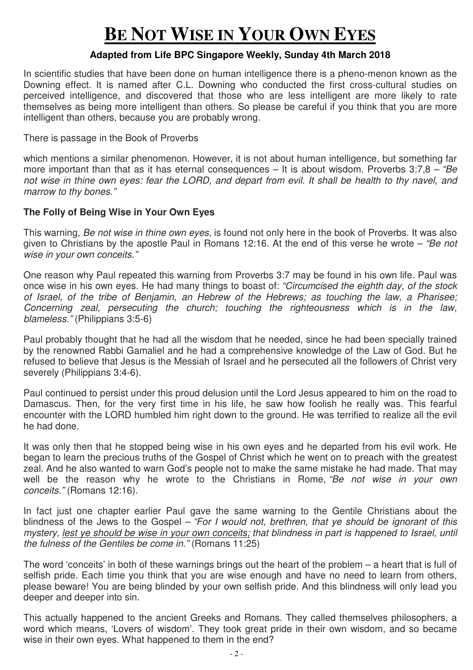# **BE NOT WISE IN YOUR OWN EYES**

#### **Adapted from Life BPC Singapore Weekly, Sunday 4th March 2018**

In scientific studies that have been done on human intelligence there is a pheno-menon known as the Downing effect. It is named after C.L. Downing who conducted the first cross-cultural studies on perceived intelligence, and discovered that those who are less intelligent are more likely to rate themselves as being more intelligent than others. So please be careful if you think that you are more intelligent than others, because you are probably wrong.

There is passage in the Book of Proverbs

which mentions a similar phenomenon. However, it is not about human intelligence, but something far more important than that as it has eternal consequences – It is about wisdom. Proverbs  $3:7,8 - "Be$ not wise in thine own eyes: fear the LORD, and depart from evil. It shall be health to thy navel, and marrow to thy bones."

#### **The Folly of Being Wise in Your Own Eyes**

This warning, Be not wise in thine own eyes, is found not only here in the book of Proverbs. It was also given to Christians by the apostle Paul in Romans 12:16. At the end of this verse he wrote – "Be not wise in your own conceits."

One reason why Paul repeated this warning from Proverbs 3:7 may be found in his own life. Paul was once wise in his own eyes. He had many things to boast of: "Circumcised the eighth day, of the stock of Israel, of the tribe of Benjamin, an Hebrew of the Hebrews; as touching the law, a Pharisee; Concerning zeal, persecuting the church; touching the righteousness which is in the law, blameless." (Philippians 3:5-6)

Paul probably thought that he had all the wisdom that he needed, since he had been specially trained by the renowned Rabbi Gamaliel and he had a comprehensive knowledge of the Law of God. But he refused to believe that Jesus is the Messiah of Israel and he persecuted all the followers of Christ very severely (Philippians 3:4-6).

Paul continued to persist under this proud delusion until the Lord Jesus appeared to him on the road to Damascus. Then, for the very first time in his life, he saw how foolish he really was. This fearful encounter with the LORD humbled him right down to the ground. He was terrified to realize all the evil he had done.

It was only then that he stopped being wise in his own eyes and he departed from his evil work. He began to learn the precious truths of the Gospel of Christ which he went on to preach with the greatest zeal. And he also wanted to warn God's people not to make the same mistake he had made. That may well be the reason why he wrote to the Christians in Rome, "Be not wise in your own conceits." (Romans 12:16).

In fact just one chapter earlier Paul gave the same warning to the Gentile Christians about the blindness of the Jews to the Gospel – "For I would not, brethren, that ye should be ignorant of this mystery, lest ye should be wise in your own conceits; that blindness in part is happened to Israel, until the fulness of the Gentiles be come in." (Romans 11:25)

The word 'conceits' in both of these warnings brings out the heart of the problem – a heart that is full of selfish pride. Each time you think that you are wise enough and have no need to learn from others, please beware! You are being blinded by your own selfish pride. And this blindness will only lead you deeper and deeper into sin.

This actually happened to the ancient Greeks and Romans. They called themselves philosophers, a word which means, 'Lovers of wisdom'. They took great pride in their own wisdom, and so became wise in their own eyes. What happened to them in the end?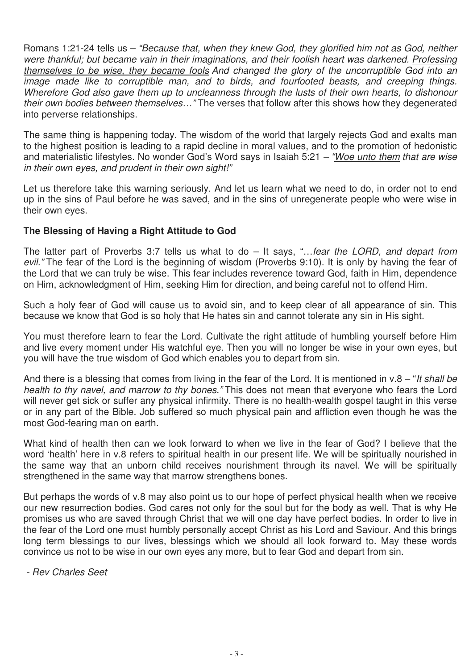Romans 1:21-24 tells us – "Because that, when they knew God, they glorified him not as God, neither were thankful; but became vain in their imaginations, and their foolish heart was darkened. Professing themselves to be wise, they became fools And changed the glory of the uncorruptible God into an image made like to corruptible man, and to birds, and fourfooted beasts, and creeping things. Wherefore God also gave them up to uncleanness through the lusts of their own hearts, to dishonour their own bodies between themselves…" The verses that follow after this shows how they degenerated into perverse relationships.

The same thing is happening today. The wisdom of the world that largely rejects God and exalts man to the highest position is leading to a rapid decline in moral values, and to the promotion of hedonistic and materialistic lifestyles. No wonder God's Word says in Isaiah 5:21 – "Woe unto them that are wise in their own eyes, and prudent in their own sight!"

Let us therefore take this warning seriously. And let us learn what we need to do, in order not to end up in the sins of Paul before he was saved, and in the sins of unregenerate people who were wise in their own eyes.

#### **The Blessing of Having a Right Attitude to God**

The latter part of Proverbs 3:7 tells us what to  $do - It$  says, "... fear the LORD, and depart from evil." The fear of the Lord is the beginning of wisdom (Proverbs 9:10). It is only by having the fear of the Lord that we can truly be wise. This fear includes reverence toward God, faith in Him, dependence on Him, acknowledgment of Him, seeking Him for direction, and being careful not to offend Him.

Such a holy fear of God will cause us to avoid sin, and to keep clear of all appearance of sin. This because we know that God is so holy that He hates sin and cannot tolerate any sin in His sight.

You must therefore learn to fear the Lord. Cultivate the right attitude of humbling yourself before Him and live every moment under His watchful eye. Then you will no longer be wise in your own eyes, but you will have the true wisdom of God which enables you to depart from sin.

And there is a blessing that comes from living in the fear of the Lord. It is mentioned in  $v.8 - H$  shall be health to thy navel, and marrow to thy bones." This does not mean that everyone who fears the Lord will never get sick or suffer any physical infirmity. There is no health-wealth gospel taught in this verse or in any part of the Bible. Job suffered so much physical pain and affliction even though he was the most God-fearing man on earth.

What kind of health then can we look forward to when we live in the fear of God? I believe that the word 'health' here in v.8 refers to spiritual health in our present life. We will be spiritually nourished in the same way that an unborn child receives nourishment through its navel. We will be spiritually strengthened in the same way that marrow strengthens bones.

But perhaps the words of v.8 may also point us to our hope of perfect physical health when we receive our new resurrection bodies. God cares not only for the soul but for the body as well. That is why He promises us who are saved through Christ that we will one day have perfect bodies. In order to live in the fear of the Lord one must humbly personally accept Christ as his Lord and Saviour. And this brings long term blessings to our lives, blessings which we should all look forward to. May these words convince us not to be wise in our own eyes any more, but to fear God and depart from sin.

- Rev Charles Seet